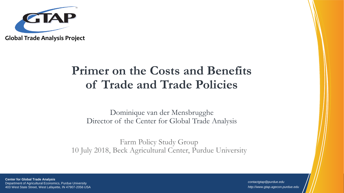

### **Primer on the Costs and Benefits of Trade and Trade Policies**

Dominique van der Mensbrugghe Director of the Center for Global Trade Analysis

Farm Policy Study Group 10 July 2018, Beck Agricultural Center, Purdue University

**Center for Global Trade Analysis** Department of Agricultural Economics, Purdue University 403 West State Street, West Lafayette, IN 47907-2056 USA

*contactgtap@purdue.edu http://www.gtap.agecon.purdue.edu*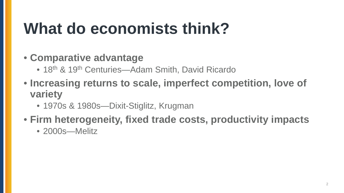# **What do economists think?**

#### • **Comparative advantage**

- 18<sup>th</sup> & 19<sup>th</sup> Centuries—Adam Smith, David Ricardo
- **Increasing returns to scale, imperfect competition, love of variety**
	- 1970s & 1980s—Dixit-Stiglitz, Krugman
- **Firm heterogeneity, fixed trade costs, productivity impacts**
	- 2000s—Melitz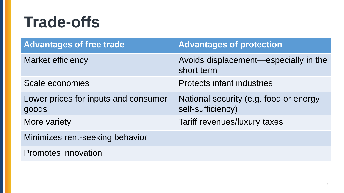# **Trade-offs**

| <b>Advantages of free trade</b>               | <b>Advantages of protection</b>                             |
|-----------------------------------------------|-------------------------------------------------------------|
| Market efficiency                             | Avoids displacement—especially in the<br>short term         |
| Scale economies                               | <b>Protects infant industries</b>                           |
| Lower prices for inputs and consumer<br>goods | National security (e.g. food or energy<br>self-sufficiency) |
| More variety                                  | Tariff revenues/luxury taxes                                |
| Minimizes rent-seeking behavior               |                                                             |
| <b>Promotes innovation</b>                    |                                                             |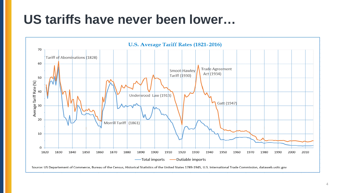## **US tariffs have never been lower…**

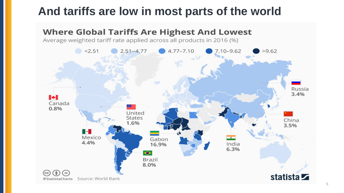### **And tariffs are low in most parts of the world**

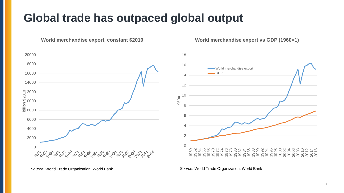### **Global trade has outpaced global output**



*Source:* World Trade Organization, World Bank

**World merchandise export vs GDP (1960=1)**



*Source:* World Trade Organization, World Bank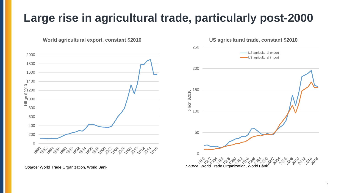### **Large rise in agricultural trade, particularly post-2000**



*Source:* World Trade Organization, World Bank

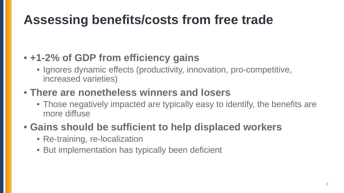## **Assessing benefits/costs from free trade**

#### • **+1-2% of GDP from efficiency gains**

• Ignores dynamic effects (productivity, innovation, pro-competitive, increased varieties)

#### • **There are nonetheless winners and losers**

• Those negatively impacted are typically easy to identify, the benefits are more diffuse

#### • **Gains should be sufficient to help displaced workers**

- Re-training, re-localization
- But implementation has typically been deficient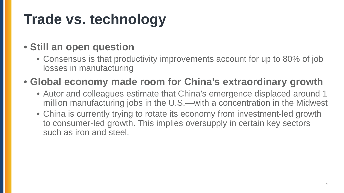# **Trade vs. technology**

#### • **Still an open question**

• Consensus is that productivity improvements account for up to 80% of job losses in manufacturing

#### • **Global economy made room for China's extraordinary growth**

- Autor and colleagues estimate that China's emergence displaced around 1 million manufacturing jobs in the U.S.—with a concentration in the Midwest
- China is currently trying to rotate its economy from investment-led growth to consumer-led growth. This implies oversupply in certain key sectors such as iron and steel.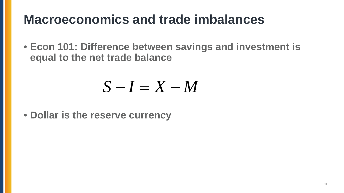## **Macroeconomics and trade imbalances**

• **Econ 101: Difference between savings and investment is equal to the net trade balance**

$$
S-I=X-M
$$

• **Dollar is the reserve currency**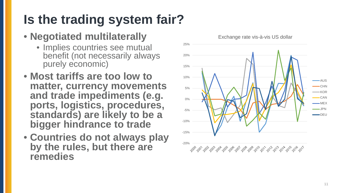# **Is the trading system fair?**

#### • **Negotiated multilaterally**

- Implies countries see mutual benefit (not necessarily always purely economic)
- **Most tariffs are too low to matter, currency movements and trade impediments (e.g. ports, logistics, procedures, standards) are likely to be a bigger hindrance to trade**
- **Countries do not always play by the rules, but there are remedies**

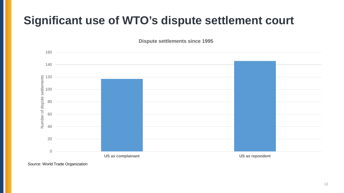### **Significant use of WTO's dispute settlement court**

**Dispute settlements since 1995**



*Source:* World Trade Organization